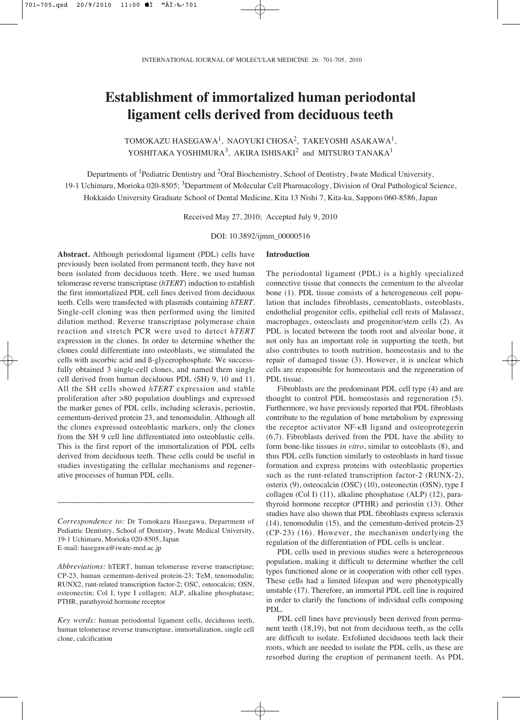# **Establishment of immortalized human periodontal ligament cells derived from deciduous teeth**

TOMOKAZU HASEGAWA<sup>1</sup>, NAOYUKI CHOSA<sup>2</sup>, TAKEYOSHI ASAKAWA<sup>1</sup>, YOSHITAKA YOSHIMURA<sup>3</sup>, AKIRA ISHISAKI<sup>2</sup> and MITSURO TANAKA<sup>1</sup>

Departments of 1Pediatric Dentistry and 2Oral Biochemistry, School of Dentistry, Iwate Medical University, 19-1 Uchimaru, Morioka 020-8505; <sup>3</sup>Department of Molecular Cell Pharmacology, Division of Oral Pathological Science, Hokkaido University Graduate School of Dental Medicine, Kita 13 Nishi 7, Kita-ku, Sapporo 060-8586, Japan

Received May 27, 2010; Accepted July 9, 2010

DOI: 10.3892/ijmm\_00000516

**Introduction**

**Abstract.** Although periodontal ligament (PDL) cells have previously been isolated from permanent teeth, they have not been isolated from deciduous teeth. Here, we used human telomerase reverse transcriptase (*hTERT*) induction to establish the first immortalized PDL cell lines derived from deciduous teeth. Cells were transfected with plasmids containing *hTERT*. Single-cell cloning was then performed using the limited dilution method. Reverse transcriptase polymerase chain reaction and stretch PCR were used to detect *hTERT* expression in the clones. In order to determine whether the clones could differentiate into osteoblasts, we stimulated the cells with ascorbic acid and ß-glycerophosphate. We successfully obtained 3 single-cell clones, and named them single cell derived from human deciduous PDL (SH) 9, 10 and 11. All the SH cells showed *hTERT* expression and stable proliferation after >80 population doublings and expressed the marker genes of PDL cells, including scleraxis, periostin, cementum-derived protein 23, and tenomodulin. Although all the clones expressed osteoblastic markers, only the clones from the SH 9 cell line differentiated into osteoblastic cells. This is the first report of the immortalization of PDL cells derived from deciduous teeth. These cells could be useful in studies investigating the cellular mechanisms and regenerative processes of human PDL cells.

*Correspondence to:* Dr Tomokazu Hasegawa, Department of Pediatric Dentistry, School of Dentistry, Iwate Medical University, 19-1 Uchimaru, Morioka 020-8505, Japan E-mail: hasegawa@iwate-med.ac.jp

\_\_\_\_\_\_\_\_\_\_\_\_\_\_\_\_\_\_\_\_\_\_\_\_\_\_\_\_\_\_\_\_\_\_\_\_\_\_\_\_\_

*Abbreviations:* hTERT, human telomerase reverse transcriptase; CP-23, human cementum-derived protein-23; TeM, tenomodulin; RUNX2, runt-related transcription factor-2; OSC, osteocalcin; OSN, osteonectin; Col I, type I collagen; ALP, alkaline phosphatase; PTHR, parathyroid hormone receptor

*Key words:* human periodontal ligament cells, deciduous teeth, human telomerase reverse transcriptase, immortalization, single cell clone, calcification

The periodontal ligament (PDL) is a highly specialized connective tissue that connects the cementum to the alveolar bone (1). PDL tissue consists of a heterogeneous cell population that includes fibroblasts, cementoblasts, osteoblasts, endothelial progenitor cells, epithelial cell rests of Malassez, macrophages, osteoclasts and progenitor/stem cells (2). As PDL is located between the tooth root and alveolar bone, it not only has an important role in supporting the teeth, but also contributes to tooth nutrition, homeostasis and to the repair of damaged tissue (3). However, it is unclear which cells are responsible for homeostasis and the regeneration of PDL tissue.

Fibroblasts are the predominant PDL cell type (4) and are thought to control PDL homeostasis and regeneration (5). Furthermore, we have previously reported that PDL fibroblasts contribute to the regulation of bone metabolism by expressing the receptor activator NF-κB ligand and osteoprotegerin (6,7). Fibroblasts derived from the PDL have the ability to form bone-like tissues *in vitro*, similar to osteoblasts (8), and thus PDL cells function similarly to osteoblasts in hard tissue formation and express proteins with osteoblastic properties such as the runt-related transcription factor-2 (RUNX-2), osterix (9), osteocalcin (OSC) (10), osteonectin (OSN), type I collagen (Col I) (11), alkaline phosphatase (ALP) (12), parathyroid hormone receptor (PTHR) and periostin (13). Other studies have also shown that PDL fibroblasts express scleraxis (14), tenomodulin (15), and the cementum-derived protein-23 (CP-23) (16). However, the mechanism underlying the regulation of the differentiation of PDL cells is unclear.

PDL cells used in previous studies were a heterogeneous population, making it difficult to determine whether the cell types functioned alone or in cooperation with other cell types. These cells had a limited lifespan and were phenotypically unstable (17). Therefore, an immortal PDL cell line is required in order to clarify the functions of individual cells composing PDL.

PDL cell lines have previously been derived from permanent teeth (18,19), but not from deciduous teeth, as the cells are difficult to isolate. Exfoliated deciduous teeth lack their roots, which are needed to isolate the PDL cells, as these are resorbed during the eruption of permanent teeth. As PDL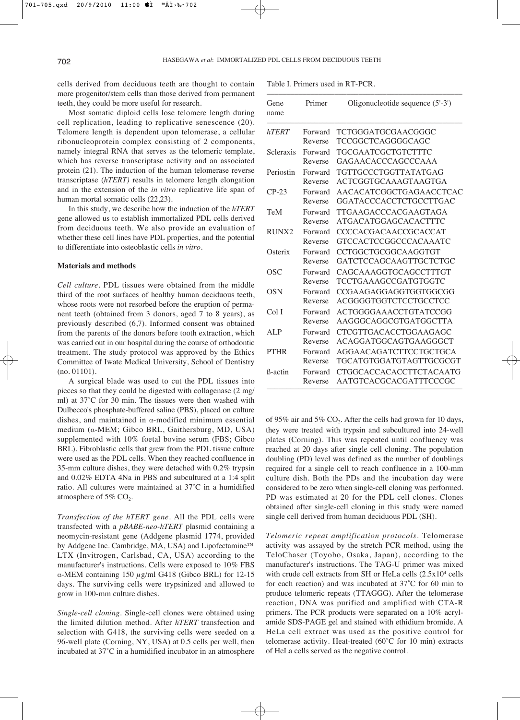cells derived from deciduous teeth are thought to contain more progenitor/stem cells than those derived from permanent teeth, they could be more useful for research.

Most somatic diploid cells lose telomere length during cell replication, leading to replicative senescence (20). Telomere length is dependent upon telomerase, a cellular ribonucleoprotein complex consisting of 2 components, namely integral RNA that serves as the telomeric template, which has reverse transcriptase activity and an associated protein (21). The induction of the human telomerase reverse transcriptase (*hTERT)* results in telomere length elongation and in the extension of the *in vitro* replicative life span of human mortal somatic cells (22,23).

In this study, we describe how the induction of the *hTERT* gene allowed us to establish immortalized PDL cells derived from deciduous teeth. We also provide an evaluation of whether these cell lines have PDL properties, and the potential to differentiate into osteoblastic cells *in vitro*.

# **Materials and methods**

*Cell culture.* PDL tissues were obtained from the middle third of the root surfaces of healthy human deciduous teeth, whose roots were not resorbed before the eruption of permanent teeth (obtained from 3 donors, aged 7 to 8 years), as previously described (6,7). Informed consent was obtained from the parents of the donors before tooth extraction, which was carried out in our hospital during the course of orthodontic treatment. The study protocol was approved by the Ethics Committee of Iwate Medical University, School of Dentistry (no. 01101).

A surgical blade was used to cut the PDL tissues into pieces so that they could be digested with collagenase (2 mg/ ml) at 37˚C for 30 min. The tissues were then washed with Dulbecco's phosphate-buffered saline (PBS), placed on culture dishes, and maintained in  $\alpha$ -modified minimum essential medium ( $\alpha$ -MEM; Gibco BRL, Gaithersburg, MD, USA) supplemented with 10% foetal bovine serum (FBS; Gibco BRL). Fibroblastic cells that grew from the PDL tissue culture were used as the PDL cells. When they reached confluence in 35-mm culture dishes, they were detached with 0.2% trypsin and 0.02% EDTA 4Na in PBS and subcultured at a 1:4 split ratio. All cultures were maintained at 37˚C in a humidified atmosphere of 5%  $CO<sub>2</sub>$ .

*Transfection of the hTERT gene.* All the PDL cells were transfected with a *pBABE-neo-hTERT* plasmid containing a neomycin-resistant gene (Addgene plasmid 1774, provided by Addgene Inc. Cambridge, MA, USA) and Lipofectamine™ LTX (Invitrogen, Carlsbad, CA, USA) according to the manufacturer's instructions. Cells were exposed to 10% FBS α-MEM containing 150  $\mu$ g/ml G418 (Gibco BRL) for 12-15 days. The surviving cells were trypsinized and allowed to grow in 100-mm culture dishes.

*Single-cell cloning.* Single-cell clones were obtained using the limited dilution method. After *hTERT* transfection and selection with G418, the surviving cells were seeded on a 96-well plate (Corning, NY, USA) at 0.5 cells per well, then incubated at 37˚C in a humidified incubator in an atmosphere

Table I. Primers used in RT-PCR.

| Gene<br>name    | Primer  | Oligonucleotide sequence (5'-3') |
|-----------------|---------|----------------------------------|
| hTERT           | Forward | TCTGGGATGCGAACGGGC               |
|                 | Reverse | TCCGGCTCAGGGGCAGC                |
| Scleraxis       | Forward | TGCGAATCGCTGTCTTTC               |
|                 | Reverse | GAGAACACCCAGCCCAAA               |
| Periostin       | Forward | TGTTGCCCTGGTTATATGAG             |
|                 | Reverse | <b>ACTCGGTGCAAAGTAAGTGA</b>      |
| $CP-23$         | Forward | AACACATCGGCTGAGAACCTCAC          |
|                 | Reverse | GGATACCCACCTCTGCCTTGAC           |
| TeM             | Forward | TTGAAGACCCACGAAGTAGA             |
|                 | Reverse | ATGACATGGAGCACACTTTC             |
| RUNX2           | Forward | <b>CCCCACGACAACCGCACCAT</b>      |
|                 | Reverse | GTCCACTCCGGCCCACAAATC            |
| Osterix         | Forward | CCTGGCTGCGGCAAGGTGT              |
|                 | Reverse | GATCTCCAGCAAGTTGCTCTGC           |
| OSC             | Forward | <b>CAGCAAAGGTGCAGCCTTTGT</b>     |
|                 | Reverse | TCCTGAAAGCCGATGTGGTC             |
| <b>OSN</b>      | Forward | CCGAAGAGGAGGTGGTGGCGG            |
|                 | Reverse | ACGGGGTGGTCTCCTGCCTCC            |
| Col I           | Forward | ACTGGGGAAACCTGTATCCGG            |
|                 | Reverse | AAGGGCAGGCGTGATGGCTTA            |
| AI.P            | Forward | CTCGTTGACACCTGGAAGAGC            |
|                 | Reverse | ACAGGATGGCAGTGAAGGGCT            |
| <b>PTHR</b>     | Forward | AGGAACAGATCTTCCTGCTGCA           |
|                 | Reverse | TGCATGTGGATGTAGTTGCGCGT          |
| <b>B</b> -actin | Forward | <b>CTGGCACCACACCTTCTACAATG</b>   |
|                 | Reverse | AATGTCACGCACGATTTCCCGC           |

of 95% air and 5%  $CO<sub>2</sub>$ . After the cells had grown for 10 days, they were treated with trypsin and subcultured into 24-well plates (Corning). This was repeated until confluency was reached at 20 days after single cell cloning. The population doubling (PD) level was defined as the number of doublings required for a single cell to reach confluence in a 100-mm culture dish. Both the PDs and the incubation day were considered to be zero when single-cell cloning was performed. PD was estimated at 20 for the PDL cell clones. Clones obtained after single-cell cloning in this study were named single cell derived from human deciduous PDL (SH).

*Telomeric repeat amplification protocols.* Telomerase activity was assayed by the stretch PCR method, using the TeloChaser (Toyobo, Osaka, Japan), according to the manufacturer's instructions. The TAG-U primer was mixed with crude cell extracts from SH or HeLa cells  $(2.5x10<sup>4</sup>$  cells for each reaction) and was incubated at 37˚C for 60 min to produce telomeric repeats (TTAGGG). After the telomerase reaction, DNA was purified and amplified with CTA-R primers. The PCR products were separated on a 10% acrylamide SDS-PAGE gel and stained with ethidium bromide. A HeLa cell extract was used as the positive control for telomerase activity. Heat-treated (60˚C for 10 min) extracts of HeLa cells served as the negative control.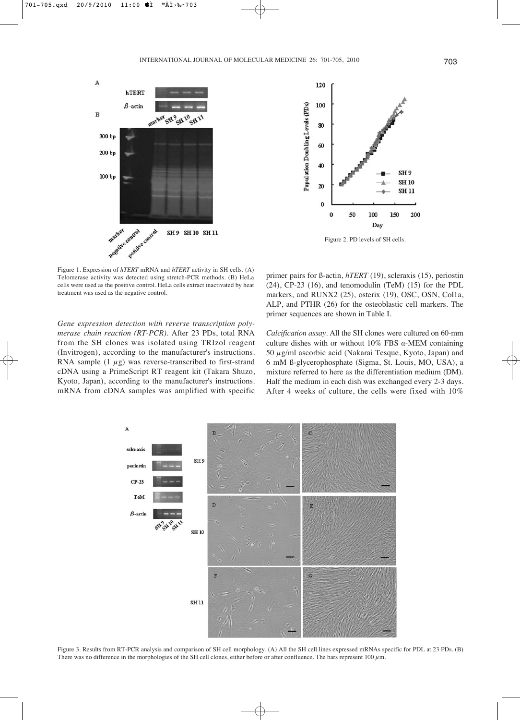



Figure 2. PD levels of SH cells.

Figure 1. Expression of *hTERT* mRNA and *hTERT* activity in SH cells. (A) Telomerase activity was detected using stretch-PCR methods. (B) HeLa cells were used as the positive control. HeLa cells extract inactivated by heat treatment was used as the negative control.

primer pairs for ß-actin, *hTERT* (19), scleraxis (15), periostin (24), CP-23 (16), and tenomodulin (TeM) (15) for the PDL markers, and RUNX2 (25), osterix (19), OSC, OSN, Col1a, ALP, and PTHR (26) for the osteoblastic cell markers. The primer sequences are shown in Table I.

*Gene expression detection with reverse transcription polymerase chain reaction (RT-PCR).* After 23 PDs, total RNA from the SH clones was isolated using TRIzol reagent (Invitrogen), according to the manufacturer's instructions. RNA sample  $(1 \mu g)$  was reverse-transcribed to first-strand cDNA using a PrimeScript RT reagent kit (Takara Shuzo, Kyoto, Japan), according to the manufacturer's instructions. mRNA from cDNA samples was amplified with specific

*Calcification assay.* All the SH clones were cultured on 60-mm culture dishes with or without  $10\%$  FBS  $\alpha$ -MEM containing 50  $\mu$ g/ml ascorbic acid (Nakarai Tesque, Kyoto, Japan) and 6 mM ß-glycerophosphate (Sigma, St. Louis, MO, USA), a mixture referred to here as the differentiation medium (DM). Half the medium in each dish was exchanged every 2-3 days. After 4 weeks of culture, the cells were fixed with 10%



Figure 3. Results from RT-PCR analysis and comparison of SH cell morphology. (A) All the SH cell lines expressed mRNAs specific for PDL at 23 PDs. (B) There was no difference in the morphologies of the SH cell clones, either before or after confluence. The bars represent 100 μm.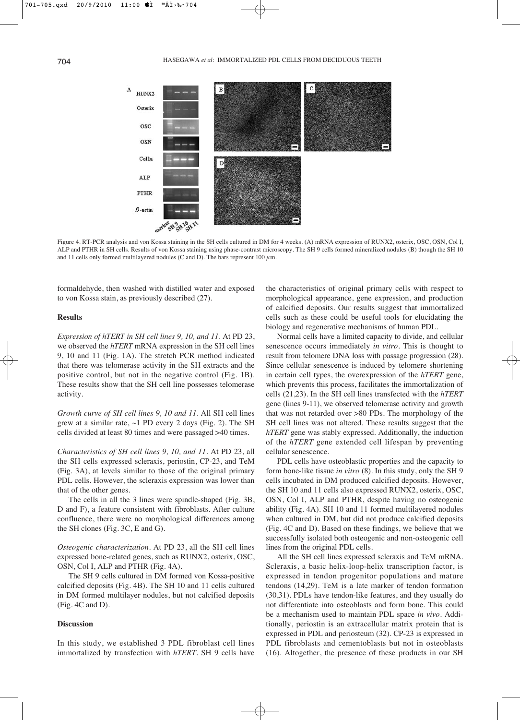

Figure 4. RT-PCR analysis and von Kossa staining in the SH cells cultured in DM for 4 weeks. (A) mRNA expression of RUNX2, osterix, OSC, OSN, Col I, ALP and PTHR in SH cells. Results of von Kossa staining using phase-contrast microscopy. The SH 9 cells formed mineralized nodules (B) though the SH 10 and 11 cells only formed multilayered nodules (C and D). The bars represent 100  $\mu$ m.

formaldehyde, then washed with distilled water and exposed to von Kossa stain, as previously described (27).

## **Results**

*Expression of hTERT in SH cell lines 9, 10, and 11.* At PD 23, we observed the *hTERT* mRNA expression in the SH cell lines 9, 10 and 11 (Fig. 1A). The stretch PCR method indicated that there was telomerase activity in the SH extracts and the positive control, but not in the negative control (Fig. 1B). These results show that the SH cell line possesses telomerase activity.

*Growth curve of SH cell lines 9, 10 and 11.* All SH cell lines grew at a similar rate,  $\sim$ 1 PD every 2 days (Fig. 2). The SH cells divided at least 80 times and were passaged >40 times.

*Characteristics of SH cell lines 9, 10, and 11.* At PD 23, all the SH cells expressed scleraxis, periostin, CP-23, and TeM (Fig. 3A), at levels similar to those of the original primary PDL cells. However, the scleraxis expression was lower than that of the other genes.

The cells in all the 3 lines were spindle-shaped (Fig. 3B, D and F), a feature consistent with fibroblasts. After culture confluence, there were no morphological differences among the SH clones (Fig. 3C, E and G).

*Osteogenic characterization.* At PD 23, all the SH cell lines expressed bone-related genes, such as RUNX2, osterix, OSC, OSN, Col I, ALP and PTHR (Fig. 4A).

The SH 9 cells cultured in DM formed von Kossa-positive calcified deposits (Fig. 4B). The SH 10 and 11 cells cultured in DM formed multilayer nodules, but not calcified deposits (Fig. 4C and D).

## **Discussion**

In this study, we established 3 PDL fibroblast cell lines immortalized by transfection with *hTERT*. SH 9 cells have the characteristics of original primary cells with respect to morphological appearance, gene expression, and production of calcified deposits. Our results suggest that immortalized cells such as these could be useful tools for elucidating the biology and regenerative mechanisms of human PDL.

Normal cells have a limited capacity to divide, and cellular senescence occurs immediately *in vitro*. This is thought to result from telomere DNA loss with passage progression (28). Since cellular senescence is induced by telomere shortening in certain cell types, the overexpression of the *hTERT* gene, which prevents this process, facilitates the immortalization of cells (21,23). In the SH cell lines transfected with the *hTERT* gene (lines 9-11), we observed telomerase activity and growth that was not retarded over >80 PDs. The morphology of the SH cell lines was not altered. These results suggest that the *hTERT* gene was stably expressed. Additionally, the induction of the *hTERT* gene extended cell lifespan by preventing cellular senescence.

PDL cells have osteoblastic properties and the capacity to form bone-like tissue *in vitro* (8). In this study, only the SH 9 cells incubated in DM produced calcified deposits. However, the SH 10 and 11 cells also expressed RUNX2, osterix, OSC, OSN, Col I, ALP and PTHR, despite having no osteogenic ability (Fig. 4A). SH 10 and 11 formed multilayered nodules when cultured in DM, but did not produce calcified deposits (Fig. 4C and D). Based on these findings, we believe that we successfully isolated both osteogenic and non-osteogenic cell lines from the original PDL cells.

All the SH cell lines expressed scleraxis and TeM mRNA. Scleraxis, a basic helix-loop-helix transcription factor, is expressed in tendon progenitor populations and mature tendons (14,29). TeM is a late marker of tendon formation (30,31). PDLs have tendon-like features, and they usually do not differentiate into osteoblasts and form bone. This could be a mechanism used to maintain PDL space *in vivo*. Additionally, periostin is an extracellular matrix protein that is expressed in PDL and periosteum (32). CP-23 is expressed in PDL fibroblasts and cementoblasts but not in osteoblasts (16). Altogether, the presence of these products in our SH